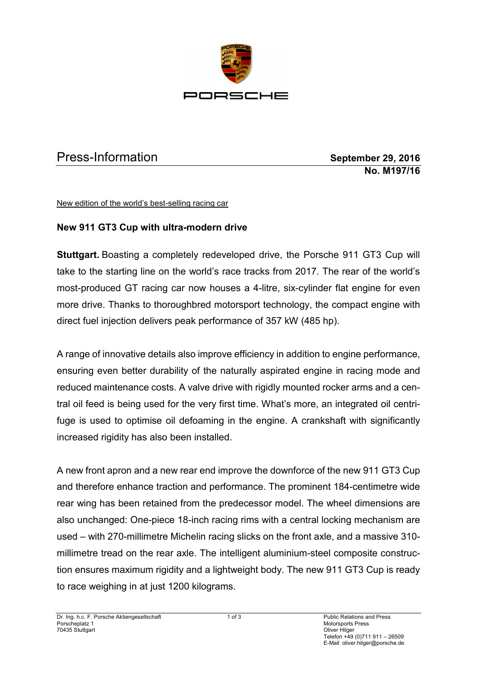

## Press-Information **September 29, 2016**

**No. M197/16**

New edition of the world's best-selling racing car

## **New 911 GT3 Cup with ultra-modern drive**

**Stuttgart.** Boasting a completely redeveloped drive, the Porsche 911 GT3 Cup will take to the starting line on the world's race tracks from 2017. The rear of the world's most-produced GT racing car now houses a 4-litre, six-cylinder flat engine for even more drive. Thanks to thoroughbred motorsport technology, the compact engine with direct fuel injection delivers peak performance of 357 kW (485 hp).

A range of innovative details also improve efficiency in addition to engine performance, ensuring even better durability of the naturally aspirated engine in racing mode and reduced maintenance costs. A valve drive with rigidly mounted rocker arms and a central oil feed is being used for the very first time. What's more, an integrated oil centrifuge is used to optimise oil defoaming in the engine. A crankshaft with significantly increased rigidity has also been installed.

A new front apron and a new rear end improve the downforce of the new 911 GT3 Cup and therefore enhance traction and performance. The prominent 184-centimetre wide rear wing has been retained from the predecessor model. The wheel dimensions are also unchanged: One-piece 18-inch racing rims with a central locking mechanism are used – with 270-millimetre Michelin racing slicks on the front axle, and a massive 310 millimetre tread on the rear axle. The intelligent aluminium-steel composite construction ensures maximum rigidity and a lightweight body. The new 911 GT3 Cup is ready to race weighing in at just 1200 kilograms.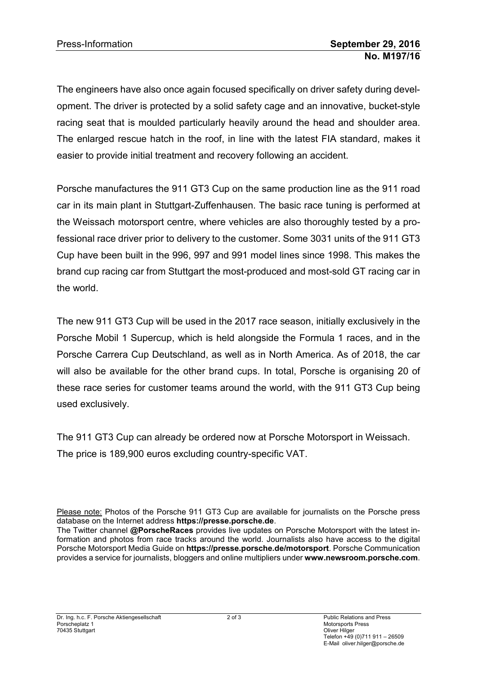The engineers have also once again focused specifically on driver safety during development. The driver is protected by a solid safety cage and an innovative, bucket-style racing seat that is moulded particularly heavily around the head and shoulder area. The enlarged rescue hatch in the roof, in line with the latest FIA standard, makes it easier to provide initial treatment and recovery following an accident.

Porsche manufactures the 911 GT3 Cup on the same production line as the 911 road car in its main plant in Stuttgart-Zuffenhausen. The basic race tuning is performed at the Weissach motorsport centre, where vehicles are also thoroughly tested by a professional race driver prior to delivery to the customer. Some 3031 units of the 911 GT3 Cup have been built in the 996, 997 and 991 model lines since 1998. This makes the brand cup racing car from Stuttgart the most-produced and most-sold GT racing car in the world.

The new 911 GT3 Cup will be used in the 2017 race season, initially exclusively in the Porsche Mobil 1 Supercup, which is held alongside the Formula 1 races, and in the Porsche Carrera Cup Deutschland, as well as in North America. As of 2018, the car will also be available for the other brand cups. In total, Porsche is organising 20 of these race series for customer teams around the world, with the 911 GT3 Cup being used exclusively.

The 911 GT3 Cup can already be ordered now at Porsche Motorsport in Weissach. The price is 189,900 euros excluding country-specific VAT.

Please note: Photos of the Porsche 911 GT3 Cup are available for journalists on the Porsche press database on the Internet address **https://presse.porsche.de**.

The Twitter channel **@PorscheRaces** provides live updates on Porsche Motorsport with the latest information and photos from race tracks around the world. Journalists also have access to the digital Porsche Motorsport Media Guide on **https://presse.porsche.de/motorsport**. Porsche Communication provides a service for journalists, bloggers and online multipliers under **www.newsroom.porsche.com**.